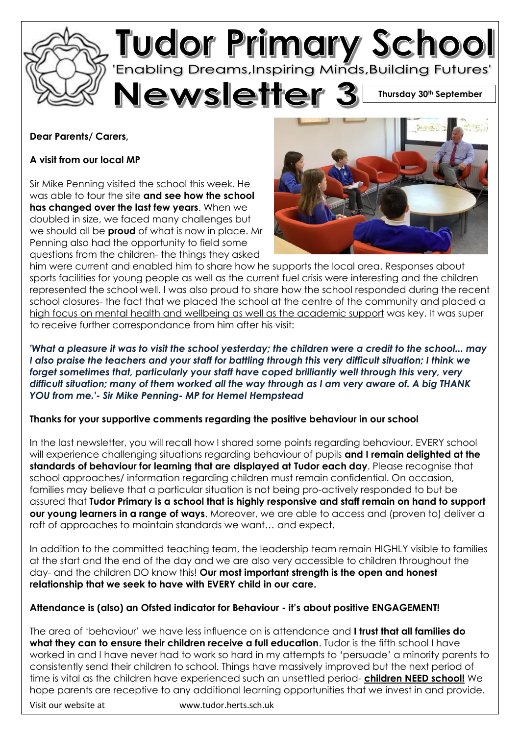

# **Dear Parents/ Carers,**

# **A visit from our local MP**

Sir Mike Penning visited the school this week. He was able to tour the site **and see how the school has changed over the last few years**. When we doubled in size, we faced many challenges but we should all be **proud** of what is now in place. Mr Penning also had the opportunity to field some questions from the children- the things they asked



him were current and enabled him to share how he supports the local area. Responses about sports facilities for young people as well as the current fuel crisis were interesting and the children represented the school well. I was also proud to share how the school responded during the recent school closures- the fact that we placed the school at the centre of the community and placed a high focus on mental health and wellbeing as well as the academic support was key. It was super to receive further correspondance from him after his visit:

*'What a pleasure it was to visit the school yesterday; the children were a credit to the school... may I also praise the teachers and your staff for battling through this very difficult situation; I think we*  forget sometimes that, particularly your staff have coped brilliantly well through this very, very *difficult situation; many of them worked all the way through as I am very aware of. A big THANK YOU from me.'- Sir Mike Penning- MP for Hemel Hempstead*

## **Thanks for your supportive comments regarding the positive behaviour in our school**

In the last newsletter, you will recall how I shared some points regarding behaviour. EVERY school will experience challenging situations regarding behaviour of pupils **and I remain delighted at the standards of behaviour for learning that are displayed at Tudor each day**. Please recognise that school approaches/ information regarding children must remain confidential. On occasion, families may believe that a particular situation is not being pro-actively responded to but be assured that **Tudor Primary is a school that is highly responsive and staff remain on hand to support our young learners in a range of ways**. Moreover, we are able to access and (proven to) deliver a raft of approaches to maintain standards we want… and expect.

In addition to the committed teaching team, the leadership team remain HIGHLY visible to families at the start and the end of the day and we are also very accessible to children throughout the day- and the children DO know this! **Our most important strength is the open and honest relationship that we seek to have with EVERY child in our care.**

## **Attendance is (also) an Ofsted indicator for Behaviour - it's about positive ENGAGEMENT!**

The area of 'behaviour' we have less influence on is attendance and **I trust that all families do what they can to ensure their children receive a full education**. Tudor is the fifth school I have worked in and I have never had to work so hard in my attempts to 'persuade' a minority parents to consistently send their children to school. Things have massively improved but the next period of time is vital as the children have experienced such an unsettled period- **children NEED school!** We hope parents are receptive to any additional learning opportunities that we invest in and provide.

Visit our website at www.tudor.herts.sch.uk